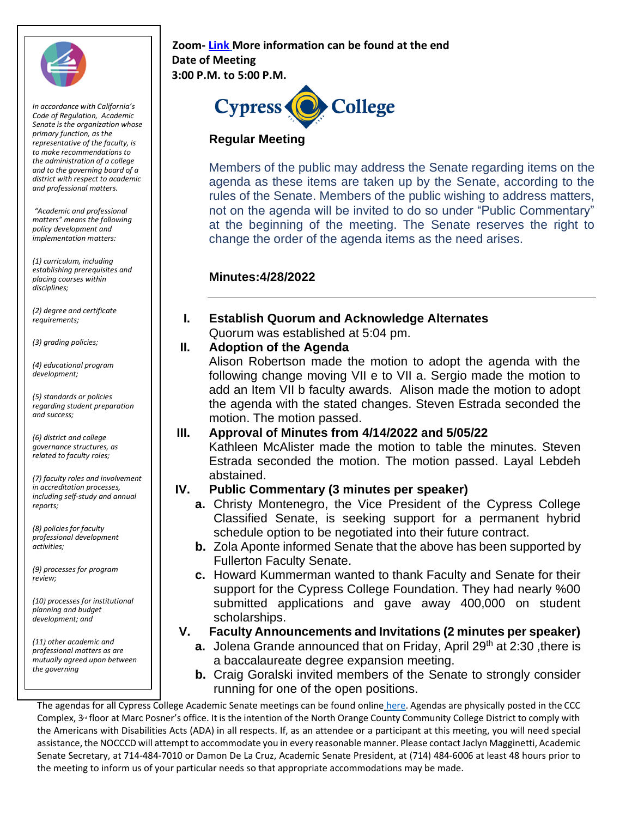

*In accordance with California's Code of Regulation, Academic Senate is the organization whose primary function, as the representative of the faculty, is to make recommendations to the administration of a college and to the governing board of a district with respect to academic and professional matters.*

*"Academic and professional matters" means the following policy development and implementation matters:*

*(1) curriculum, including establishing prerequisites and placing courses within disciplines;* 

*(2) degree and certificate requirements;* 

*(3) grading policies;* 

*(4) educational program development;* 

*(5) standards or policies regarding student preparation and success;* 

*(6) district and college governance structures, as related to faculty roles;* 

*(7) faculty roles and involvement in accreditation processes, including self-study and annual reports;* 

*(8) policies for faculty professional development activities;* 

*(9) processes for program review;* 

*(10) processes for institutional planning and budget development; and* 

*(11) other academic and professional matters as are mutually agreed upon between the governing*

#### **Zoom[-](https://cypresscollege-edu.zoom.us/j/98305681363?pwd=akYwS3l0TjdkODFGRXN3QW9IZ3BEZz09) [Link](https://cypresscollege-edu.zoom.us/j/94505848930?pwd=ekNnSklNelUxODVteFRsTjFqT0VtQT09) More information can be found at the end Date of Meeting 3:00 P.M. to 5:00 P.M.**



#### **Regular Meeting**

Members of the public may address the Senate regarding items on the agenda as these items are taken up by the Senate, according to the rules of the Senate. Members of the public wishing to address matters, not on the agenda will be invited to do so under "Public Commentary" at the beginning of the meeting. The Senate reserves the right to change the order of the agenda items as the need arises.

#### **Minutes:4/28/2022**

**I. Establish Quorum and Acknowledge Alternates** Quorum was established at 5:04 pm.

#### **II. Adoption of the Agenda**

Alison Robertson made the motion to adopt the agenda with the following change moving VII e to VII a. Sergio made the motion to add an Item VII b faculty awards. Alison made the motion to adopt the agenda with the stated changes. Steven Estrada seconded the motion. The motion passed.

#### **III. Approval of Minutes from 4/14/2022 and 5/05/22**

Kathleen McAlister made the motion to table the minutes. Steven Estrada seconded the motion. The motion passed. Layal Lebdeh abstained.

## **IV. Public Commentary (3 minutes per speaker)**

- **a.** Christy Montenegro, the Vice President of the Cypress College Classified Senate, is seeking support for a permanent hybrid schedule option to be negotiated into their future contract.
- **b.** Zola Aponte informed Senate that the above has been supported by Fullerton Faculty Senate.
- **c.** Howard Kummerman wanted to thank Faculty and Senate for their support for the Cypress College Foundation. They had nearly %00 submitted applications and gave away 400,000 on student scholarships.
- **V. Faculty Announcements and Invitations (2 minutes per speaker)**
	- **a.** Jolena Grande announced that on Friday, April 29<sup>th</sup> at 2:30, there is a baccalaureate degree expansion meeting.
	- **b.** Craig Goralski invited members of the Senate to strongly consider running for one of the open positions.

The agendas for all Cypress College Academic Senate meetings can be found online [here.](https://www.cypresscollege.edu/about/cypress-college-governance/academic-senate/agendas-and-minutes/) Agendas are physically posted in the CCC Complex, 3<sup>rd</sup> floor at Marc Posner's office. It is the intention of the North Orange County Community College District to comply with the Americans with Disabilities Acts (ADA) in all respects. If, as an attendee or a participant at this meeting, you will need special assistance, the NOCCCD will attempt to accommodate you in every reasonable manner. Please contact Jaclyn Magginetti, Academic Senate Secretary, at 714-484-7010 or Damon De La Cruz, Academic Senate President, at (714) 484-6006 at least 48 hours prior to the meeting to inform us of your particular needs so that appropriate accommodations may be made.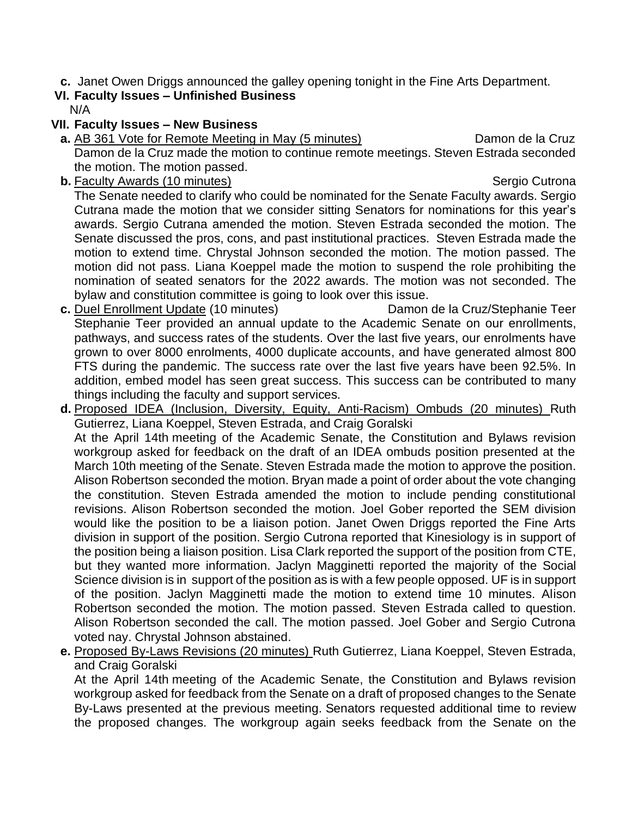**c.** Janet Owen Driggs announced the galley opening tonight in the Fine Arts Department.

# **VI. Faculty Issues – Unfinished Business**

N/A

### **VII. Faculty Issues – New Business**

- **a.** AB 361 Vote for Remote Meeting in May (5 minutes) Damon de la Cruz Damon de la Cruz made the motion to continue remote meetings. Steven Estrada seconded the motion. The motion passed.
- **b.** Faculty Awards (10 minutes) Sergio Cutrona

The Senate needed to clarify who could be nominated for the Senate Faculty awards. Sergio Cutrana made the motion that we consider sitting Senators for nominations for this year's awards. Sergio Cutrana amended the motion. Steven Estrada seconded the motion. The Senate discussed the pros, cons, and past institutional practices. Steven Estrada made the motion to extend time. Chrystal Johnson seconded the motion. The motion passed. The motion did not pass. Liana Koeppel made the motion to suspend the role prohibiting the nomination of seated senators for the 2022 awards. The motion was not seconded. The bylaw and constitution committee is going to look over this issue.

- **c.** Duel Enrollment Update (10 minutes) Damon de la Cruz/Stephanie Teer Stephanie Teer provided an annual update to the Academic Senate on our enrollments, pathways, and success rates of the students. Over the last five years, our enrolments have grown to over 8000 enrolments, 4000 duplicate accounts, and have generated almost 800 FTS during the pandemic. The success rate over the last five years have been 92.5%. In addition, embed model has seen great success. This success can be contributed to many things including the faculty and support services.
- **d.** Proposed IDEA (Inclusion, Diversity, Equity, Anti-Racism) Ombuds (20 minutes) Ruth Gutierrez, Liana Koeppel, Steven Estrada, and Craig Goralski At the April 14th meeting of the Academic Senate, the Constitution and Bylaws revision workgroup asked for feedback on the draft of an IDEA ombuds position presented at the March 10th meeting of the Senate. Steven Estrada made the motion to approve the position. Alison Robertson seconded the motion. Bryan made a point of order about the vote changing the constitution. Steven Estrada amended the motion to include pending constitutional revisions. Alison Robertson seconded the motion. Joel Gober reported the SEM division would like the position to be a liaison potion. Janet Owen Driggs reported the Fine Arts division in support of the position. Sergio Cutrona reported that Kinesiology is in support of the position being a liaison position. Lisa Clark reported the support of the position from CTE, but they wanted more information. Jaclyn Magginetti reported the majority of the Social Science division is in support of the position as is with a few people opposed. UF is in support of the position. Jaclyn Magginetti made the motion to extend time 10 minutes. Alison Robertson seconded the motion. The motion passed. Steven Estrada called to question. Alison Robertson seconded the call. The motion passed. Joel Gober and Sergio Cutrona voted nay. Chrystal Johnson abstained.
- **e.** Proposed By-Laws Revisions (20 minutes) Ruth Gutierrez, Liana Koeppel, Steven Estrada, and Craig Goralski

At the April 14th meeting of the Academic Senate, the Constitution and Bylaws revision workgroup asked for feedback from the Senate on a draft of proposed changes to the Senate By-Laws presented at the previous meeting. Senators requested additional time to review the proposed changes. The workgroup again seeks feedback from the Senate on the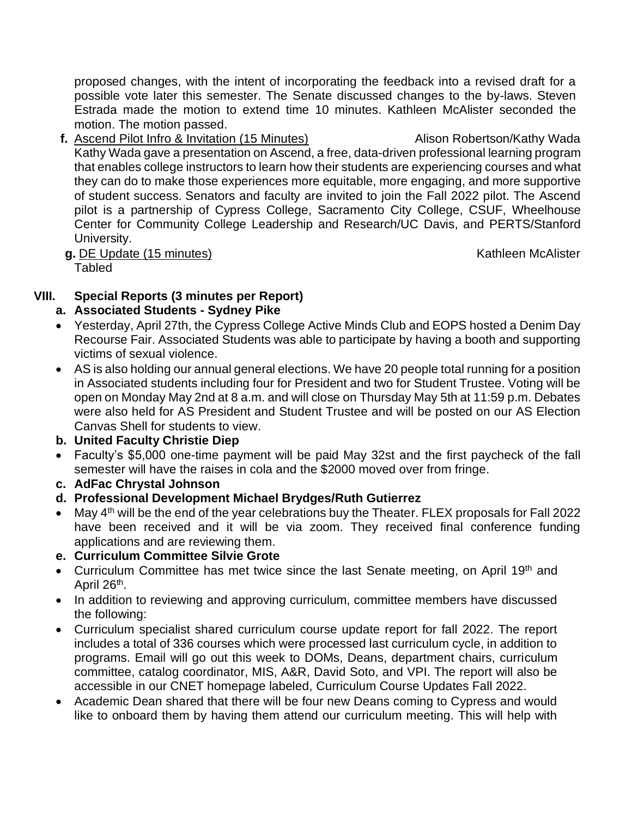proposed changes, with the intent of incorporating the feedback into a revised draft for a possible vote later this semester. The Senate discussed changes to the by-laws. Steven Estrada made the motion to extend time 10 minutes. Kathleen McAlister seconded the motion. The motion passed.

- **f.** Ascend Pilot Infro & Invitation (15 Minutes) Alison Robertson/Kathy Wada Kathy Wada gave a presentation on Ascend, a free, data-driven professional learning program that enables college instructors to learn how their students are experiencing courses and what they can do to make those experiences more equitable, more engaging, and more supportive of student success. Senators and faculty are invited to join the Fall 2022 pilot. The Ascend pilot is a partnership of Cypress College, Sacramento City College, CSUF, Wheelhouse Center for Community College Leadership and Research/UC Davis, and PERTS/Stanford University.
	- **g.** DE Update (15 minutes) **Kathleen McAlister** Kathleen McAlister

**Tabled** 

# **VIII. Special Reports (3 minutes per Report)**

## **a. Associated Students - Sydney Pike**

- Yesterday, April 27th, the Cypress College Active Minds Club and EOPS hosted a Denim Day Recourse Fair. Associated Students was able to participate by having a booth and supporting victims of sexual violence.
- AS is also holding our annual general elections. We have 20 people total running for a position in Associated students including four for President and two for Student Trustee. Voting will be open on Monday May 2nd at 8 a.m. and will close on Thursday May 5th at 11:59 p.m. Debates were also held for AS President and Student Trustee and will be posted on our AS Election Canvas Shell for students to view.

## **b. United Faculty Christie Diep**

- Faculty's \$5,000 one-time payment will be paid May 32st and the first paycheck of the fall semester will have the raises in cola and the \$2000 moved over from fringe.
- **c. AdFac Chrystal Johnson**
- **d. Professional Development Michael Brydges/Ruth Gutierrez**
- May 4<sup>th</sup> will be the end of the year celebrations buy the Theater. FLEX proposals for Fall 2022 have been received and it will be via zoom. They received final conference funding applications and are reviewing them.
- **e. Curriculum Committee Silvie Grote**
- Curriculum Committee has met twice since the last Senate meeting, on April 19<sup>th</sup> and April 26<sup>th</sup>.
- In addition to reviewing and approving curriculum, committee members have discussed the following:
- Curriculum specialist shared curriculum course update report for fall 2022. The report includes a total of 336 courses which were processed last curriculum cycle, in addition to programs. Email will go out this week to DOMs, Deans, department chairs, curriculum committee, catalog coordinator, MIS, A&R, David Soto, and VPI. The report will also be accessible in our CNET homepage labeled, Curriculum Course Updates Fall 2022.
- Academic Dean shared that there will be four new Deans coming to Cypress and would like to onboard them by having them attend our curriculum meeting. This will help with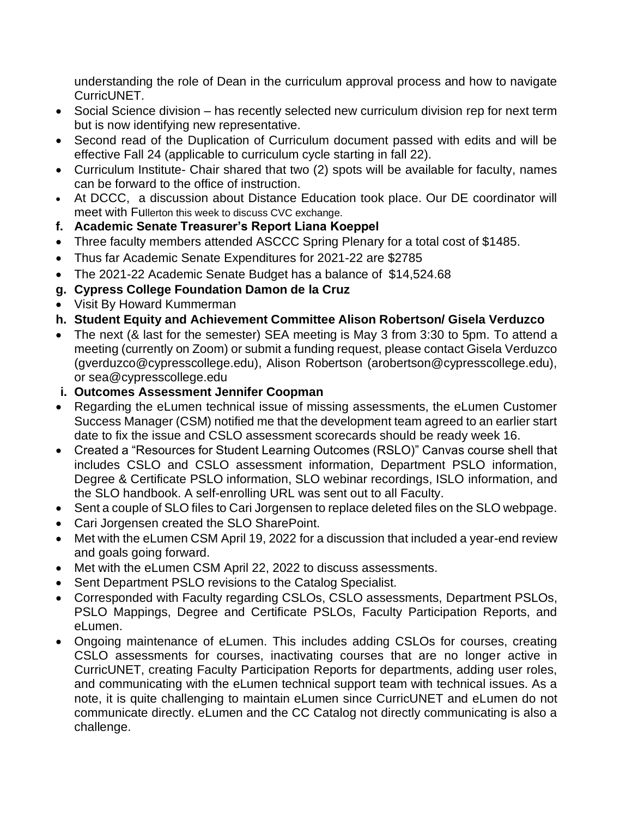understanding the role of Dean in the curriculum approval process and how to navigate CurricUNET.

- Social Science division has recently selected new curriculum division rep for next term but is now identifying new representative.
- Second read of the Duplication of Curriculum document passed with edits and will be effective Fall 24 (applicable to curriculum cycle starting in fall 22).
- Curriculum Institute- Chair shared that two (2) spots will be available for faculty, names can be forward to the office of instruction.
- At DCCC, a discussion about Distance Education took place. Our DE coordinator will meet with Fullerton this week to discuss CVC exchange.
- **f. Academic Senate Treasurer's Report Liana Koeppel**
- Three faculty members attended ASCCC Spring Plenary for a total cost of \$1485.
- Thus far Academic Senate Expenditures for 2021-22 are \$2785
- The 2021-22 Academic Senate Budget has a balance of \$14,524.68
- **g. Cypress College Foundation Damon de la Cruz**
- Visit By Howard Kummerman
- **h. Student Equity and Achievement Committee Alison Robertson/ Gisela Verduzco**
- The next (& last for the semester) SEA meeting is May 3 from 3:30 to 5pm. To attend a meeting (currently on Zoom) or submit a funding request, please contact Gisela Verduzco (gverduzco@cypresscollege.edu), Alison Robertson (arobertson@cypresscollege.edu), or sea@cypresscollege.edu
- **i. Outcomes Assessment Jennifer Coopman**
- Regarding the eLumen technical issue of missing assessments, the eLumen Customer Success Manager (CSM) notified me that the development team agreed to an earlier start date to fix the issue and CSLO assessment scorecards should be ready week 16.
- Created a "Resources for Student Learning Outcomes (RSLO)" Canvas course shell that includes CSLO and CSLO assessment information, Department PSLO information, Degree & Certificate PSLO information, SLO webinar recordings, ISLO information, and the SLO handbook. A self-enrolling URL was sent out to all Faculty.
- Sent a couple of SLO files to Cari Jorgensen to replace deleted files on the SLO webpage.
- Cari Jorgensen created the SLO SharePoint.
- Met with the eLumen CSM April 19, 2022 for a discussion that included a year-end review and goals going forward.
- Met with the eLumen CSM April 22, 2022 to discuss assessments.
- Sent Department PSLO revisions to the Catalog Specialist.
- Corresponded with Faculty regarding CSLOs, CSLO assessments, Department PSLOs, PSLO Mappings, Degree and Certificate PSLOs, Faculty Participation Reports, and eLumen.
- Ongoing maintenance of eLumen. This includes adding CSLOs for courses, creating CSLO assessments for courses, inactivating courses that are no longer active in CurricUNET, creating Faculty Participation Reports for departments, adding user roles, and communicating with the eLumen technical support team with technical issues. As a note, it is quite challenging to maintain eLumen since CurricUNET and eLumen do not communicate directly. eLumen and the CC Catalog not directly communicating is also a challenge.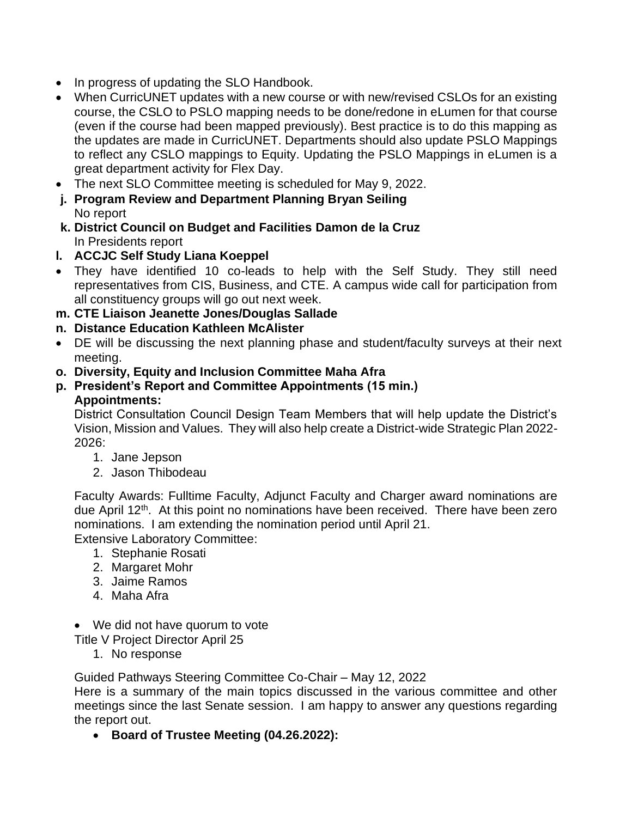- In progress of updating the SLO Handbook.
- When CurricUNET updates with a new course or with new/revised CSLOs for an existing course, the CSLO to PSLO mapping needs to be done/redone in eLumen for that course (even if the course had been mapped previously). Best practice is to do this mapping as the updates are made in CurricUNET. Departments should also update PSLO Mappings to reflect any CSLO mappings to Equity. Updating the PSLO Mappings in eLumen is a great department activity for Flex Day.
- The next SLO Committee meeting is scheduled for May 9, 2022.
- **j. Program Review and Department Planning Bryan Seiling** No report
- **k. District Council on Budget and Facilities Damon de la Cruz** In Presidents report
- **l. ACCJC Self Study Liana Koeppel**
- They have identified 10 co-leads to help with the Self Study. They still need representatives from CIS, Business, and CTE. A campus wide call for participation from all constituency groups will go out next week.
- **m. CTE Liaison Jeanette Jones/Douglas Sallade**
- **n. Distance Education Kathleen McAlister**
- DE will be discussing the next planning phase and student/faculty surveys at their next meeting.
- **o. Diversity, Equity and Inclusion Committee Maha Afra**
- **p. President's Report and Committee Appointments (15 min.) Appointments:**

District Consultation Council Design Team Members that will help update the District's Vision, Mission and Values. They will also help create a District-wide Strategic Plan 2022- 2026:

- 1. Jane Jepson
- 2. Jason Thibodeau

Faculty Awards: Fulltime Faculty, Adjunct Faculty and Charger award nominations are due April 12<sup>th</sup>. At this point no nominations have been received. There have been zero nominations. I am extending the nomination period until April 21.

Extensive Laboratory Committee:

- 1. Stephanie Rosati
- 2. Margaret Mohr
- 3. Jaime Ramos
- 4. Maha Afra
- We did not have quorum to vote

Title V Project Director April 25

1. No response

Guided Pathways Steering Committee Co-Chair – May 12, 2022

Here is a summary of the main topics discussed in the various committee and other meetings since the last Senate session. I am happy to answer any questions regarding the report out.

• **Board of Trustee Meeting (04.26.2022):**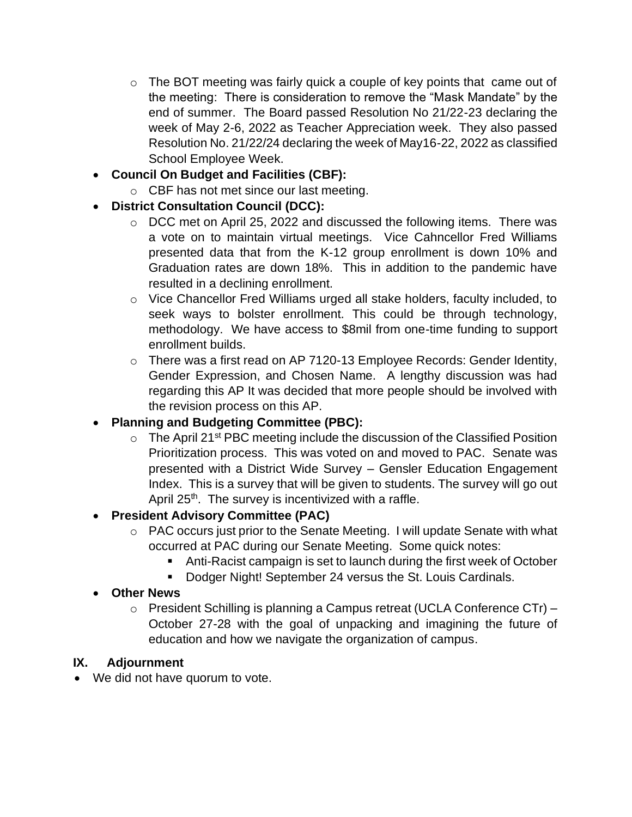- o The BOT meeting was fairly quick a couple of key points that came out of the meeting: There is consideration to remove the "Mask Mandate" by the end of summer. The Board passed Resolution No 21/22-23 declaring the week of May 2-6, 2022 as Teacher Appreciation week. They also passed Resolution No. 21/22/24 declaring the week of May16-22, 2022 as classified School Employee Week.
- **Council On Budget and Facilities (CBF):** 
	- o CBF has not met since our last meeting.
- **District Consultation Council (DCC):** 
	- o DCC met on April 25, 2022 and discussed the following items. There was a vote on to maintain virtual meetings. Vice Cahncellor Fred Williams presented data that from the K-12 group enrollment is down 10% and Graduation rates are down 18%. This in addition to the pandemic have resulted in a declining enrollment.
	- o Vice Chancellor Fred Williams urged all stake holders, faculty included, to seek ways to bolster enrollment. This could be through technology, methodology. We have access to \$8mil from one-time funding to support enrollment builds.
	- o There was a first read on AP 7120-13 Employee Records: Gender Identity, Gender Expression, and Chosen Name. A lengthy discussion was had regarding this AP It was decided that more people should be involved with the revision process on this AP.

# • **Planning and Budgeting Committee (PBC):**

 $\circ$  The April 21<sup>st</sup> PBC meeting include the discussion of the Classified Position Prioritization process. This was voted on and moved to PAC. Senate was presented with a District Wide Survey – Gensler Education Engagement Index. This is a survey that will be given to students. The survey will go out April  $25<sup>th</sup>$ . The survey is incentivized with a raffle.

# • **President Advisory Committee (PAC)**

- o PAC occurs just prior to the Senate Meeting. I will update Senate with what occurred at PAC during our Senate Meeting. Some quick notes:
	- Anti-Racist campaign is set to launch during the first week of October
	- Dodger Night! September 24 versus the St. Louis Cardinals.
- **Other News**
	- o President Schilling is planning a Campus retreat (UCLA Conference CTr) October 27-28 with the goal of unpacking and imagining the future of education and how we navigate the organization of campus.

## **IX. Adjournment**

• We did not have quorum to vote.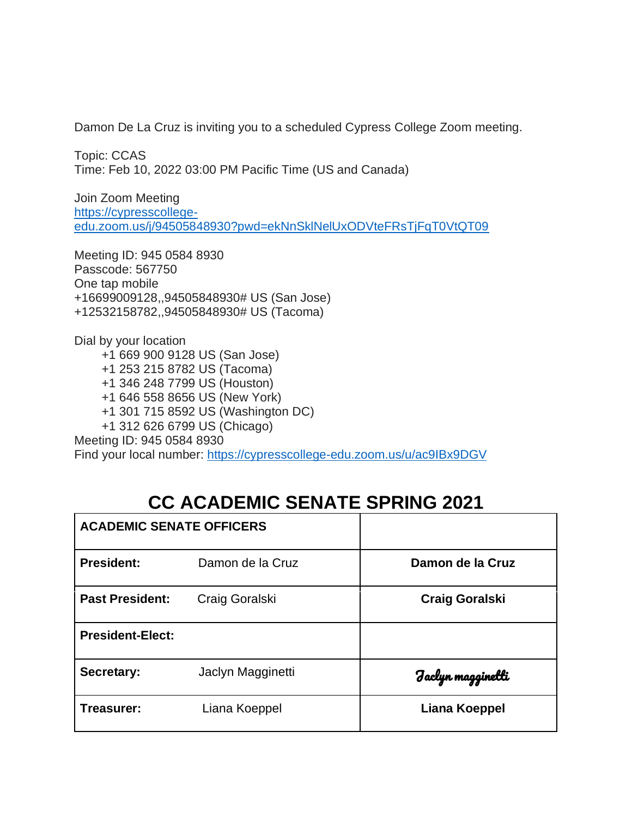Damon De La Cruz is inviting you to a scheduled Cypress College Zoom meeting.

Topic: CCAS Time: Feb 10, 2022 03:00 PM Pacific Time (US and Canada)

Join Zoom Meeting [https://cypresscollege](https://nam10.safelinks.protection.outlook.com/?url=https%3A%2F%2Fcypresscollege-edu.zoom.us%2Fj%2F94505848930%3Fpwd%3DekNnSklNelUxODVteFRsTjFqT0VtQT09&data=04%7C01%7Cjmagginetti%40cypresscollege.edu%7C816878f1e32c4729664c08d9ea92d209%7C7b69ea2875f3494c8a21913b138337f8%7C0%7C0%7C637798738585124901%7CUnknown%7CTWFpbGZsb3d8eyJWIjoiMC4wLjAwMDAiLCJQIjoiV2luMzIiLCJBTiI6Ik1haWwiLCJXVCI6Mn0%3D%7C3000&sdata=kRxoqq7z5ZcIn83BiUDw21mo0OF3jNjzv1BVzhcoXFg%3D&reserved=0)[edu.zoom.us/j/94505848930?pwd=ekNnSklNelUxODVteFRsTjFqT0VtQT09](https://nam10.safelinks.protection.outlook.com/?url=https%3A%2F%2Fcypresscollege-edu.zoom.us%2Fj%2F94505848930%3Fpwd%3DekNnSklNelUxODVteFRsTjFqT0VtQT09&data=04%7C01%7Cjmagginetti%40cypresscollege.edu%7C816878f1e32c4729664c08d9ea92d209%7C7b69ea2875f3494c8a21913b138337f8%7C0%7C0%7C637798738585124901%7CUnknown%7CTWFpbGZsb3d8eyJWIjoiMC4wLjAwMDAiLCJQIjoiV2luMzIiLCJBTiI6Ik1haWwiLCJXVCI6Mn0%3D%7C3000&sdata=kRxoqq7z5ZcIn83BiUDw21mo0OF3jNjzv1BVzhcoXFg%3D&reserved=0)

Meeting ID: 945 0584 8930 Passcode: 567750 One tap mobile +16699009128,,94505848930# US (San Jose) +12532158782,,94505848930# US (Tacoma)

Dial by your location

 +1 669 900 9128 US (San Jose) +1 253 215 8782 US (Tacoma) +1 346 248 7799 US (Houston) +1 646 558 8656 US (New York) +1 301 715 8592 US (Washington DC) +1 312 626 6799 US (Chicago) Meeting ID: 945 0584 8930

Find your local number: [https://cypresscollege-edu.zoom.us/u/ac9IBx9DGV](https://nam10.safelinks.protection.outlook.com/?url=https%3A%2F%2Fcypresscollege-edu.zoom.us%2Fu%2Fac9IBx9DGV&data=04%7C01%7Cjmagginetti%40cypresscollege.edu%7C816878f1e32c4729664c08d9ea92d209%7C7b69ea2875f3494c8a21913b138337f8%7C0%7C0%7C637798738585124901%7CUnknown%7CTWFpbGZsb3d8eyJWIjoiMC4wLjAwMDAiLCJQIjoiV2luMzIiLCJBTiI6Ik1haWwiLCJXVCI6Mn0%3D%7C3000&sdata=teveHz2%2FOLZnT%2FFVM%2Byl%2FLNChxWNeHyeIymCWHTZIUA%3D&reserved=0)

# **CC ACADEMIC SENATE SPRING 2021**

| <b>ACADEMIC SENATE OFFICERS</b> |                   |                       |
|---------------------------------|-------------------|-----------------------|
| <b>President:</b>               | Damon de la Cruz  | Damon de la Cruz      |
| <b>Past President:</b>          | Craig Goralski    | <b>Craig Goralski</b> |
| <b>President-Elect:</b>         |                   |                       |
| Secretary:                      | Jaclyn Magginetti | Faclyn magginetti     |
| Treasurer:                      | Liana Koeppel     | Liana Koeppel         |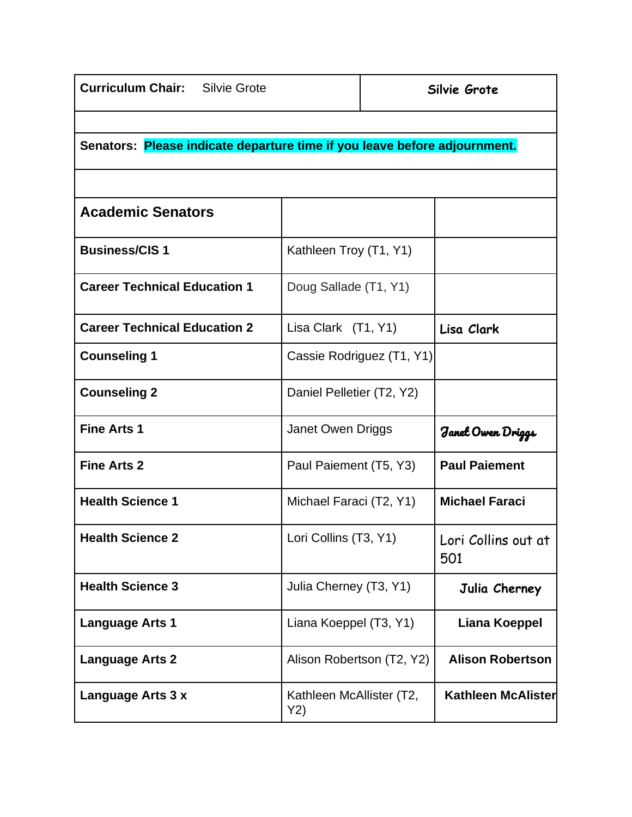| <b>Curriculum Chair:</b> Silvie Grote                                     |                                 |  | Silvie Grote               |  |  |
|---------------------------------------------------------------------------|---------------------------------|--|----------------------------|--|--|
|                                                                           |                                 |  |                            |  |  |
| Senators: Please indicate departure time if you leave before adjournment. |                                 |  |                            |  |  |
|                                                                           |                                 |  |                            |  |  |
| <b>Academic Senators</b>                                                  |                                 |  |                            |  |  |
| <b>Business/CIS1</b>                                                      | Kathleen Troy (T1, Y1)          |  |                            |  |  |
| <b>Career Technical Education 1</b>                                       | Doug Sallade (T1, Y1)           |  |                            |  |  |
| <b>Career Technical Education 2</b>                                       | Lisa Clark (T1, Y1)             |  | Lisa Clark                 |  |  |
| <b>Counseling 1</b>                                                       | Cassie Rodriguez (T1, Y1)       |  |                            |  |  |
| <b>Counseling 2</b>                                                       | Daniel Pelletier (T2, Y2)       |  |                            |  |  |
| <b>Fine Arts 1</b>                                                        | Janet Owen Driggs               |  | Janet Owen Driggs          |  |  |
| <b>Fine Arts 2</b>                                                        | Paul Paiement (T5, Y3)          |  | <b>Paul Paiement</b>       |  |  |
| <b>Health Science 1</b>                                                   | Michael Faraci (T2, Y1)         |  | <b>Michael Faraci</b>      |  |  |
| <b>Health Science 2</b>                                                   | Lori Collins (T3, Y1)           |  | Lori Collins out at<br>501 |  |  |
| <b>Health Science 3</b>                                                   | Julia Cherney (T3, Y1)          |  | Julia Cherney              |  |  |
| <b>Language Arts 1</b>                                                    | Liana Koeppel (T3, Y1)          |  | <b>Liana Koeppel</b>       |  |  |
| <b>Language Arts 2</b>                                                    | Alison Robertson (T2, Y2)       |  | <b>Alison Robertson</b>    |  |  |
| Language Arts 3 x                                                         | Kathleen McAllister (T2,<br>Y2) |  | <b>Kathleen McAlister</b>  |  |  |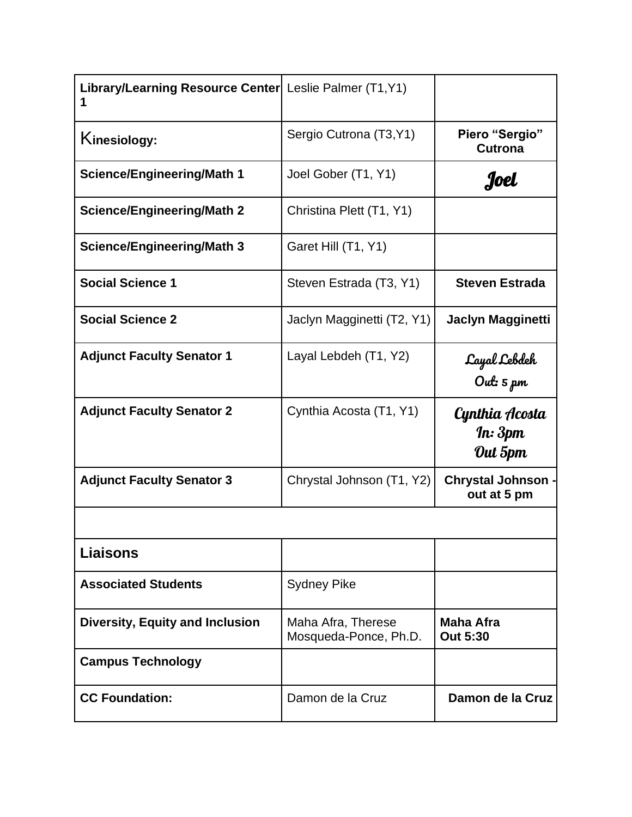| Library/Learning Resource Center  Leslie Palmer (T1, Y1) |                                             |                                          |
|----------------------------------------------------------|---------------------------------------------|------------------------------------------|
| Kinesiology:                                             | Sergio Cutrona (T3, Y1)                     | Piero "Sergio"<br><b>Cutrona</b>         |
| <b>Science/Engineering/Math 1</b>                        | Joel Gober (T1, Y1)                         | Joel                                     |
| <b>Science/Engineering/Math 2</b>                        | Christina Plett (T1, Y1)                    |                                          |
| <b>Science/Engineering/Math 3</b>                        | Garet Hill (T1, Y1)                         |                                          |
| <b>Social Science 1</b>                                  | Steven Estrada (T3, Y1)                     | <b>Steven Estrada</b>                    |
| <b>Social Science 2</b>                                  | Jaclyn Magginetti (T2, Y1)                  | <b>Jaclyn Magginetti</b>                 |
| <b>Adjunct Faculty Senator 1</b>                         | Layal Lebdeh (T1, Y2)                       | Cayal Lebdeh<br>Out: 5 pm                |
| <b>Adjunct Faculty Senator 2</b>                         | Cynthia Acosta (T1, Y1)                     | Cynthia Acosta<br>In: 3pm<br>Out 5pm     |
| <b>Adjunct Faculty Senator 3</b>                         | Chrystal Johnson (T1, Y2)                   | <b>Chrystal Johnson -</b><br>out at 5 pm |
|                                                          |                                             |                                          |
| <b>Liaisons</b>                                          |                                             |                                          |
| <b>Associated Students</b>                               | <b>Sydney Pike</b>                          |                                          |
| <b>Diversity, Equity and Inclusion</b>                   | Maha Afra, Therese<br>Mosqueda-Ponce, Ph.D. | <b>Maha Afra</b><br><b>Out 5:30</b>      |
| <b>Campus Technology</b>                                 |                                             |                                          |
| <b>CC Foundation:</b>                                    | Damon de la Cruz                            | Damon de la Cruz                         |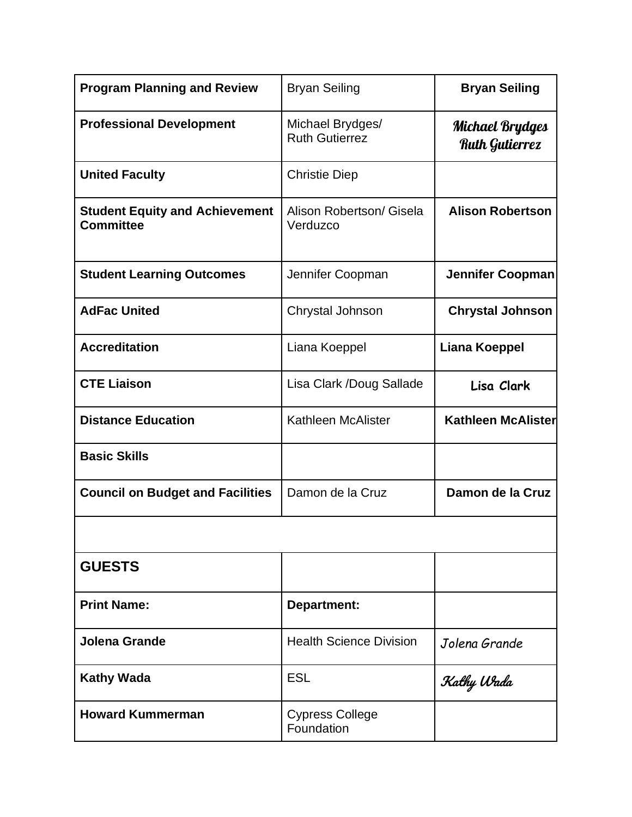| <b>Program Planning and Review</b>                        | <b>Bryan Seiling</b>                      | <b>Bryan Seiling</b>                            |
|-----------------------------------------------------------|-------------------------------------------|-------------------------------------------------|
| <b>Professional Development</b>                           | Michael Brydges/<br><b>Ruth Gutierrez</b> | <b>Michael Brydges</b><br><b>Ruth Gutierrez</b> |
| <b>United Faculty</b>                                     | <b>Christie Diep</b>                      |                                                 |
| <b>Student Equity and Achievement</b><br><b>Committee</b> | Alison Robertson/ Gisela<br>Verduzco      | <b>Alison Robertson</b>                         |
| <b>Student Learning Outcomes</b>                          | Jennifer Coopman                          | <b>Jennifer Coopman</b>                         |
| <b>AdFac United</b>                                       | Chrystal Johnson                          | <b>Chrystal Johnson</b>                         |
| <b>Accreditation</b>                                      | Liana Koeppel                             | <b>Liana Koeppel</b>                            |
| <b>CTE Liaison</b>                                        | Lisa Clark /Doug Sallade                  | Lisa Clark                                      |
| <b>Distance Education</b>                                 | Kathleen McAlister                        | <b>Kathleen McAlister</b>                       |
| <b>Basic Skills</b>                                       |                                           |                                                 |
| <b>Council on Budget and Facilities</b>                   | Damon de la Cruz                          | Damon de la Cruz                                |
|                                                           |                                           |                                                 |
| <b>GUESTS</b>                                             |                                           |                                                 |
| <b>Print Name:</b>                                        | <b>Department:</b>                        |                                                 |
| <b>Jolena Grande</b>                                      | <b>Health Science Division</b>            | Jolena Grande                                   |
| <b>Kathy Wada</b>                                         | ESL                                       | Kathy Wada                                      |
| <b>Howard Kummerman</b>                                   | <b>Cypress College</b><br>Foundation      |                                                 |